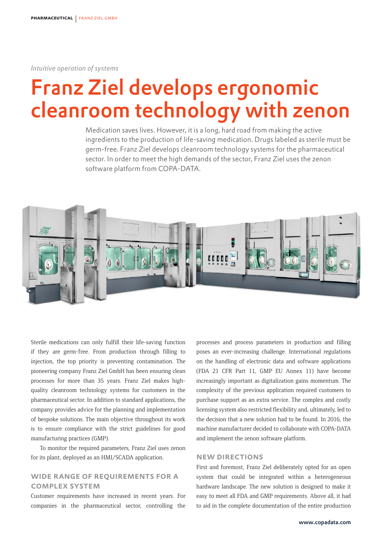*Intuitive operation of systems* 

# Franz Ziel develops ergonomic cleanroom technology with zenon

Medication saves lives. However, it is a long, hard road from making the active ingredients to the production of life-saving medication. Drugs labeled as sterile must be germ-free. Franz Ziel develops cleanroom technology systems for the pharmaceutical sector. In order to meet the high demands of the sector, Franz Ziel uses the zenon software platform from COPA-DATA.



Sterile medications can only fulfill their life-saving function if they are germ-free. From production through filling to injection, the top priority is preventing contamination. The pioneering company Franz Ziel GmbH has been ensuring clean processes for more than 35 years. Franz Ziel makes highquality cleanroom technology systems for customers in the pharmaceutical sector. In addition to standard applications, the company provides advice for the planning and implementation of bespoke solutions. The main objective throughout its work is to ensure compliance with the strict guidelines for good manufacturing practices (GMP).

To monitor the required parameters, Franz Ziel uses zenon for its plant, deployed as an HMI/SCADA application.

## Wide range of requirements for a complex system

Customer requirements have increased in recent years. For companies in the pharmaceutical sector, controlling the processes and process parameters in production and filling poses an ever-increasing challenge. International regulations on the handling of electronic data and software applications (FDA 21 CFR Part 11, GMP EU Annex 11) have become increasingly important as digitalization gains momentum. The complexity of the previous application required customers to purchase support as an extra service. The complex and costly licensing system also restricted flexibility and, ultimately, led to the decision that a new solution had to be found. In 2016, the machine manufacturer decided to collaborate with COPA-DATA and implement the zenon software platform.

### New directions

First and foremost, Franz Ziel deliberately opted for an open system that could be integrated within a heterogeneous hardware landscape. The new solution is designed to make it easy to meet all FDA and GMP requirements. Above all, it had to aid in the complete documentation of the entire production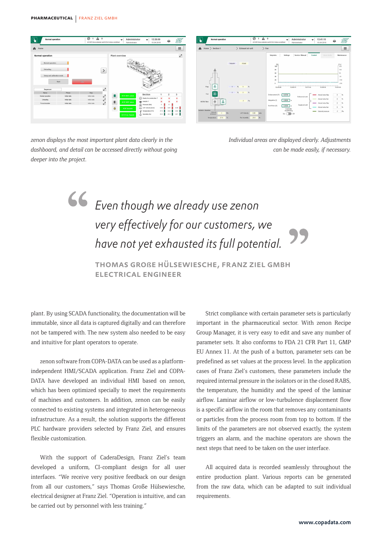

*zenon displays the most important plant data clearly in the dashboard, and detail can be accessed directly without going deeper into the project.*



*Individual areas are displayed clearly. Adjustments can be made easily, if necessary.*

*Even though we already use zenon very effectively for our customers, we have not yet exhausted its full potential.*

> Thomas Große Hülsewiesche, Franz Ziel GmbH Electrical Engineer

plant. By using SCADA functionality, the documentation will be immutable, since all data is captured digitally and can therefore not be tampered with. The new system also needed to be easy and intuitive for plant operators to operate.

zenon software from COPA-DATA can be used as a platformindependent HMI/SCADA application. Franz Ziel and COPA-DATA have developed an individual HMI based on zenon, which has been optimized specially to meet the requirements of machines and customers. In addition, zenon can be easily connected to existing systems and integrated in heterogeneous infrastructure. As a result, the solution supports the different PLC hardware providers selected by Franz Ziel, and ensures flexible customization.

With the support of CaderaDesign, Franz Ziel's team developed a uniform, CI-compliant design for all user interfaces. "We receive very positive feedback on our design from all our customers," says Thomas Große Hülsewiesche, electrical designer at Franz Ziel. "Operation is intuitive, and can be carried out by personnel with less training."

Strict compliance with certain parameter sets is particularly important in the pharmaceutical sector. With zenon Recipe Group Manager, it is very easy to edit and save any number of parameter sets. It also conforms to FDA 21 CFR Part 11, GMP EU Annex 11. At the push of a button, parameter sets can be predefined as set values at the process level. In the application cases of Franz Ziel's customers, these parameters include the required internal pressure in the isolators or in the closed RABS, the temperature, the humidity and the speed of the laminar airflow. Laminar airflow or low-turbulence displacement flow is a specific airflow in the room that removes any contaminants or particles from the process room from top to bottom. If the limits of the parameters are not observed exactly, the system triggers an alarm, and the machine operators are shown the next steps that need to be taken on the user interface.

All acquired data is recorded seamlessly throughout the entire production plant. Various reports can be generated from the raw data, which can be adapted to suit individual requirements.